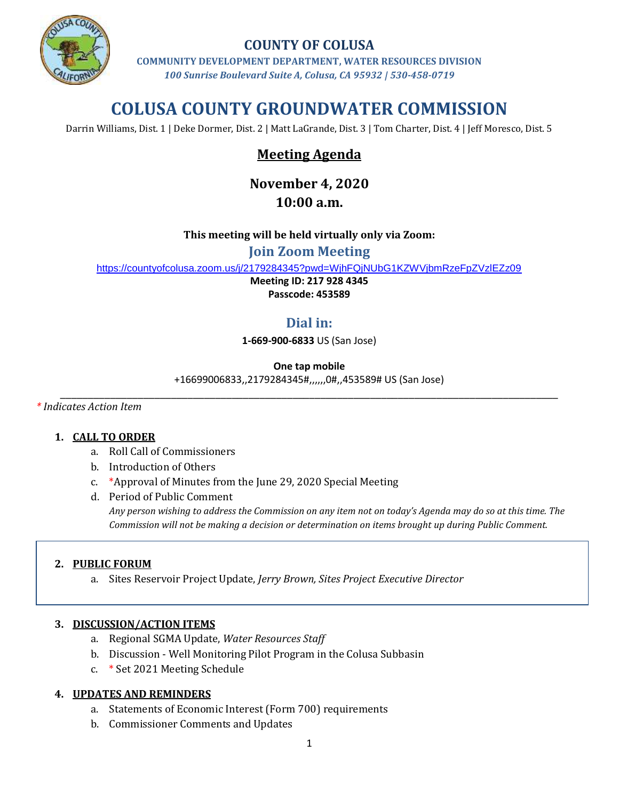

### **COUNTY OF COLUSA**

**COMMUNITY DEVELOPMENT DEPARTMENT, WATER RESOURCES DIVISION** *100 Sunrise Boulevard Suite A, Colusa, CA 95932 | 530-458-0719*

# **COLUSA COUNTY GROUNDWATER COMMISSION**

Darrin Williams, Dist. 1 | Deke Dormer, Dist. 2 | Matt LaGrande, Dist. 3 | Tom Charter, Dist. 4 | Jeff Moresco, Dist. 5

## **Meeting Agenda**

# **November 4, 2020**

## **10:00 a.m.**

#### **This meeting will be held virtually only via Zoom:**

**Join Zoom Meeting**

<https://countyofcolusa.zoom.us/j/2179284345?pwd=WjhFQjNUbG1KZWVjbmRzeFpZVzlEZz09>

**Meeting ID: 217 928 4345**

**Passcode: 453589**

## **Dial in:**

**1-669-900-6833** US (San Jose)

#### **One tap mobile**

+16699006833,,2179284345#,,,,,,0#,,453589# US (San Jose) \_\_\_\_\_\_\_\_\_\_\_\_\_\_\_\_\_\_\_\_\_\_\_\_\_\_\_\_\_\_\_\_\_\_\_\_\_\_\_\_\_\_\_\_\_\_\_\_\_\_\_\_\_\_\_\_\_\_\_\_\_\_\_\_\_\_\_\_\_\_\_\_\_\_\_\_\_\_\_\_\_\_\_\_\_\_\_\_\_\_

*\* Indicates Action Item*

#### **1. CALL TO ORDER**

- a. Roll Call of Commissioners
- b. Introduction of Others
- c. \*Approval of Minutes from the June 29, 2020 Special Meeting
- d. Period of Public Comment *Any person wishing to address the Commission on any item not on today's Agenda may do so at this time. The Commission will not be making a decision or determination on items brought up during Public Comment.*

#### **2. PUBLIC FORUM**

a. Sites Reservoir Project Update, *Jerry Brown, Sites Project Executive Director*

#### **3. DISCUSSION/ACTION ITEMS**

- a. Regional SGMA Update, *Water Resources Staff*
- b. Discussion Well Monitoring Pilot Program in the Colusa Subbasin
- c. \* Set 2021 Meeting Schedule

#### **4. UPDATES AND REMINDERS**

- a. Statements of Economic Interest (Form 700) requirements
- b. Commissioner Comments and Updates